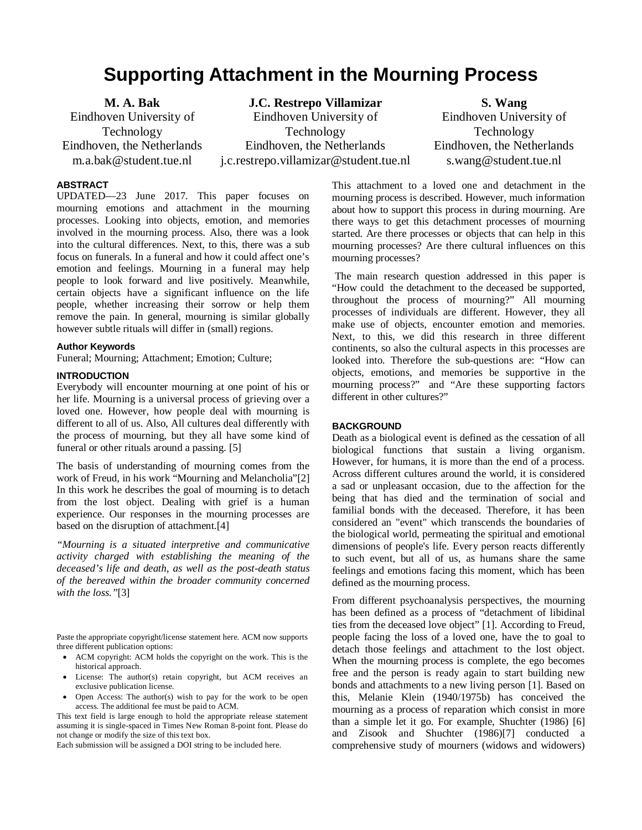# **Supporting Attachment in the Mourning Process**

**M. A. Bak**  Eindhoven University of Technology Eindhoven, the Netherlands m.a.bak@student.tue.nl

**J.C. Restrepo Villamizar** Eindhoven University of Technology Eindhoven, the Netherlands j.c.restrepo.villamizar@student.tue.nl

**S. Wang**  Eindhoven University of Technology Eindhoven, the Netherlands s.wang@student.tue.nl

## **ABSTRACT**

UPDATED—23 June 2017. This paper focuses on mourning emotions and attachment in the mourning processes. Looking into objects, emotion, and memories involved in the mourning process. Also, there was a look into the cultural differences. Next, to this, there was a sub focus on funerals. In a funeral and how it could affect one's emotion and feelings. Mourning in a funeral may help people to look forward and live positively. Meanwhile, certain objects have a significant influence on the life people, whether increasing their sorrow or help them remove the pain. In general, mourning is similar globally however subtle rituals will differ in (small) regions.

## **Author Keywords**

Funeral; Mourning; Attachment; Emotion; Culture;

#### **INTRODUCTION**

Everybody will encounter mourning at one point of his or her life. Mourning is a universal process of grieving over a loved one. However, how people deal with mourning is different to all of us. Also, All cultures deal differently with the process of mourning, but they all have some kind of funeral or other rituals around a passing. [5]

The basis of understanding of mourning comes from the work of Freud, in his work "Mourning and Melancholia"[2] In this work he describes the goal of mourning is to detach from the lost object. Dealing with grief is a human experience. Our responses in the mourning processes are based on the disruption of attachment.[4]

*"Mourning is a situated interpretive and communicative activity charged with establishing the meaning of the deceased's life and death, as well as the post-death status of the bereaved within the broader community concerned with the loss."*[3]

Paste the appropriate copyright/license statement here. ACM now supports three different publication options:

- ACM copyright: ACM holds the copyright on the work. This is the historical approach.
- License: The author(s) retain copyright, but ACM receives an exclusive publication license.
- Open Access: The author(s) wish to pay for the work to be open access. The additional fee must be paid to ACM.

This text field is large enough to hold the appropriate release statement assuming it is single-spaced in Times New Roman 8-point font. Please do not change or modify the size of this text box.

Each submission will be assigned a DOI string to be included here.

This attachment to a loved one and detachment in the mourning process is described. However, much information about how to support this process in during mourning. Are there ways to get this detachment processes of mourning started. Are there processes or objects that can help in this mourning processes? Are there cultural influences on this mourning processes?

The main research question addressed in this paper is "How could the detachment to the deceased be supported, throughout the process of mourning?" All mourning processes of individuals are different. However, they all make use of objects, encounter emotion and memories. Next, to this, we did this research in three different continents, so also the cultural aspects in this processes are looked into. Therefore the sub-questions are: "How can objects, emotions, and memories be supportive in the mourning process?" and "Are these supporting factors different in other cultures?"

## **BACKGROUND**

Death as a biological event is defined as the cessation of all biological functions that sustain a living organism. However, for humans, it is more than the end of a process. Across different cultures around the world, it is considered a sad or unpleasant occasion, due to the affection for the being that has died and the termination of social and familial bonds with the deceased. Therefore, it has been considered an "event" which transcends the boundaries of the biological world, permeating the spiritual and emotional dimensions of people's life. Every person reacts differently to such event, but all of us, as humans share the same feelings and emotions facing this moment, which has been defined as the mourning process.

From different psychoanalysis perspectives, the mourning has been defined as a process of "detachment of libidinal ties from the deceased love object" [1]. According to Freud, people facing the loss of a loved one, have the to goal to detach those feelings and attachment to the lost object. When the mourning process is complete, the ego becomes free and the person is ready again to start building new bonds and attachments to a new living person [1]. Based on this, Melanie Klein (1940/1975b) has conceived the mourning as a process of reparation which consist in more than a simple let it go. For example, Shuchter (1986) [6] and Zisook and Shuchter (1986)[7] conducted a comprehensive study of mourners (widows and widowers)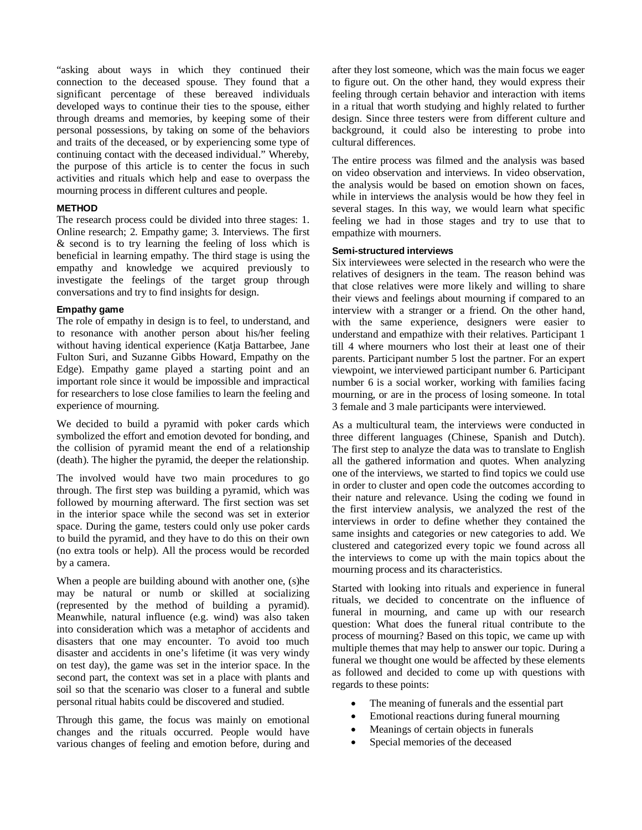"asking about ways in which they continued their connection to the deceased spouse. They found that a significant percentage of these bereaved individuals developed ways to continue their ties to the spouse, either through dreams and memories, by keeping some of their personal possessions, by taking on some of the behaviors and traits of the deceased, or by experiencing some type of continuing contact with the deceased individual." Whereby, the purpose of this article is to center the focus in such activities and rituals which help and ease to overpass the mourning process in different cultures and people.

#### **METHOD**

The research process could be divided into three stages: 1. Online research; 2. Empathy game; 3. Interviews. The first & second is to try learning the feeling of loss which is beneficial in learning empathy. The third stage is using the empathy and knowledge we acquired previously to investigate the feelings of the target group through conversations and try to find insights for design.

#### **Empathy game**

The role of empathy in design is to feel, to understand, and to resonance with another person about his/her feeling without having identical experience (Katja Battarbee, Jane Fulton Suri, and Suzanne Gibbs Howard, Empathy on the Edge). Empathy game played a starting point and an important role since it would be impossible and impractical for researchers to lose close families to learn the feeling and experience of mourning.

We decided to build a pyramid with poker cards which symbolized the effort and emotion devoted for bonding, and the collision of pyramid meant the end of a relationship (death). The higher the pyramid, the deeper the relationship.

The involved would have two main procedures to go through. The first step was building a pyramid, which was followed by mourning afterward. The first section was set in the interior space while the second was set in exterior space. During the game, testers could only use poker cards to build the pyramid, and they have to do this on their own (no extra tools or help). All the process would be recorded by a camera.

When a people are building abound with another one, (s)he may be natural or numb or skilled at socializing (represented by the method of building a pyramid). Meanwhile, natural influence (e.g. wind) was also taken into consideration which was a metaphor of accidents and disasters that one may encounter. To avoid too much disaster and accidents in one's lifetime (it was very windy on test day), the game was set in the interior space. In the second part, the context was set in a place with plants and soil so that the scenario was closer to a funeral and subtle personal ritual habits could be discovered and studied.

Through this game, the focus was mainly on emotional changes and the rituals occurred. People would have various changes of feeling and emotion before, during and after they lost someone, which was the main focus we eager to figure out. On the other hand, they would express their feeling through certain behavior and interaction with items in a ritual that worth studying and highly related to further design. Since three testers were from different culture and background, it could also be interesting to probe into cultural differences.

The entire process was filmed and the analysis was based on video observation and interviews. In video observation, the analysis would be based on emotion shown on faces, while in interviews the analysis would be how they feel in several stages. In this way, we would learn what specific feeling we had in those stages and try to use that to empathize with mourners.

#### **Semi-structured interviews**

Six interviewees were selected in the research who were the relatives of designers in the team. The reason behind was that close relatives were more likely and willing to share their views and feelings about mourning if compared to an interview with a stranger or a friend. On the other hand, with the same experience, designers were easier to understand and empathize with their relatives. Participant 1 till 4 where mourners who lost their at least one of their parents. Participant number 5 lost the partner. For an expert viewpoint, we interviewed participant number 6. Participant number 6 is a social worker, working with families facing mourning, or are in the process of losing someone. In total 3 female and 3 male participants were interviewed.

As a multicultural team, the interviews were conducted in three different languages (Chinese, Spanish and Dutch). The first step to analyze the data was to translate to English all the gathered information and quotes. When analyzing one of the interviews, we started to find topics we could use in order to cluster and open code the outcomes according to their nature and relevance. Using the coding we found in the first interview analysis, we analyzed the rest of the interviews in order to define whether they contained the same insights and categories or new categories to add. We clustered and categorized every topic we found across all the interviews to come up with the main topics about the mourning process and its characteristics.

Started with looking into rituals and experience in funeral rituals, we decided to concentrate on the influence of funeral in mourning, and came up with our research question: What does the funeral ritual contribute to the process of mourning? Based on this topic, we came up with multiple themes that may help to answer our topic. During a funeral we thought one would be affected by these elements as followed and decided to come up with questions with regards to these points:

- The meaning of funerals and the essential part
- Emotional reactions during funeral mourning
- Meanings of certain objects in funerals
- Special memories of the deceased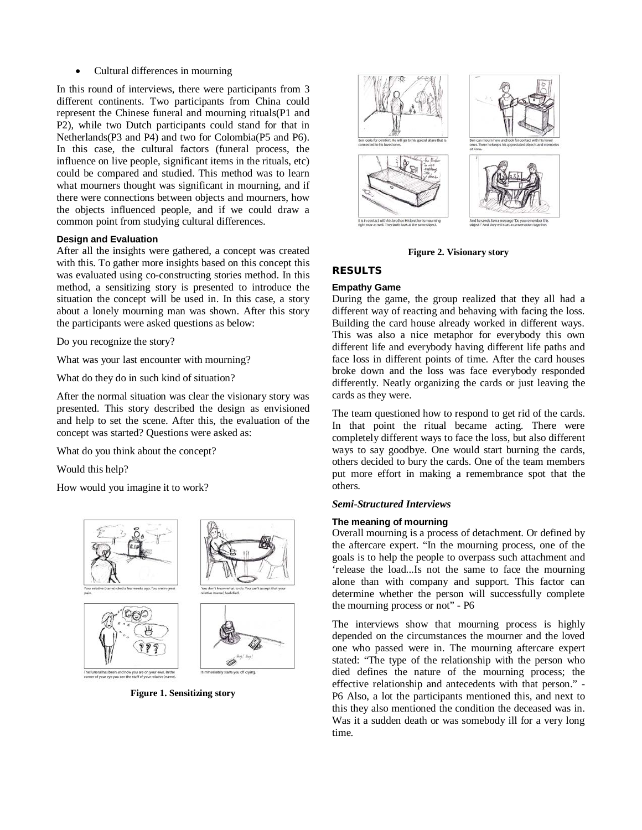• Cultural differences in mourning

In this round of interviews, there were participants from 3 different continents. Two participants from China could represent the Chinese funeral and mourning rituals(P1 and P2), while two Dutch participants could stand for that in Netherlands(P3 and P4) and two for Colombia(P5 and P6). In this case, the cultural factors (funeral process, the influence on live people, significant items in the rituals, etc) could be compared and studied. This method was to learn what mourners thought was significant in mourning, and if there were connections between objects and mourners, how the objects influenced people, and if we could draw a common point from studying cultural differences.

#### **Design and Evaluation**

After all the insights were gathered, a concept was created with this. To gather more insights based on this concept this was evaluated using co-constructing stories method. In this method, a sensitizing story is presented to introduce the situation the concept will be used in. In this case, a story about a lonely mourning man was shown. After this story the participants were asked questions as below:

Do you recognize the story?

What was your last encounter with mourning?

What do they do in such kind of situation?

After the normal situation was clear the visionary story was presented. This story described the design as envisioned and help to set the scene. After this, the evaluation of the concept was started? Questions were asked as:

What do you think about the concept?

Would this help?

How would you imagine it to work?



**Figure 1. Sensitizing story** 



**Figure 2. Visionary story** 

# **RESULTS**

#### **Empathy Game**

During the game, the group realized that they all had a different way of reacting and behaving with facing the loss. Building the card house already worked in different ways. This was also a nice metaphor for everybody this own different life and everybody having different life paths and face loss in different points of time. After the card houses broke down and the loss was face everybody responded differently. Neatly organizing the cards or just leaving the cards as they were.

The team questioned how to respond to get rid of the cards. In that point the ritual became acting. There were completely different ways to face the loss, but also different ways to say goodbye. One would start burning the cards, others decided to bury the cards. One of the team members put more effort in making a remembrance spot that the others.

## *Semi-Structured Interviews*

#### **The meaning of mourning**

Overall mourning is a process of detachment. Or defined by the aftercare expert. "In the mourning process, one of the goals is to help the people to overpass such attachment and 'release the load...Is not the same to face the mourning alone than with company and support. This factor can determine whether the person will successfully complete the mourning process or not" - P6

The interviews show that mourning process is highly depended on the circumstances the mourner and the loved one who passed were in. The mourning aftercare expert stated: "The type of the relationship with the person who died defines the nature of the mourning process; the effective relationship and antecedents with that person." - P6 Also, a lot the participants mentioned this, and next to this they also mentioned the condition the deceased was in. Was it a sudden death or was somebody ill for a very long time.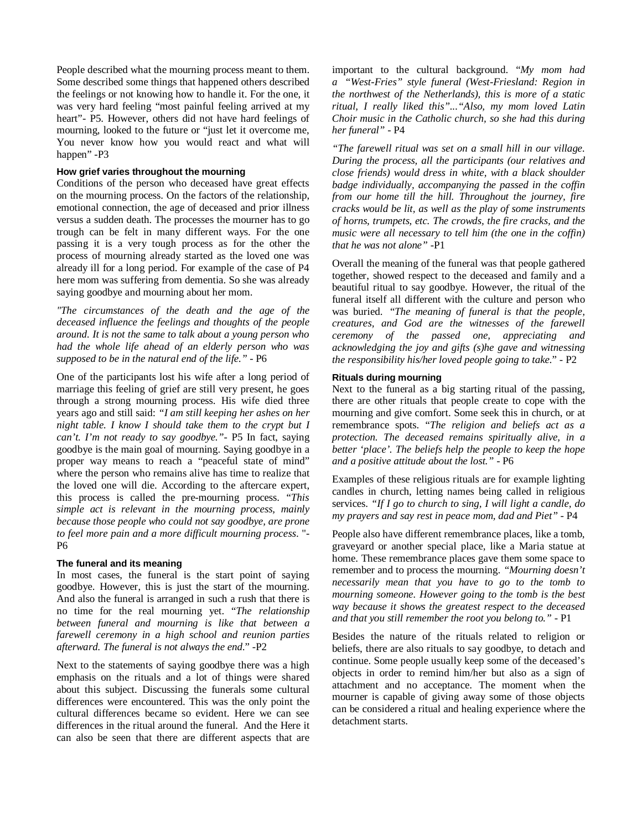People described what the mourning process meant to them. Some described some things that happened others described the feelings or not knowing how to handle it. For the one, it was very hard feeling "most painful feeling arrived at my heart"- P5. However, others did not have hard feelings of mourning, looked to the future or "just let it overcome me, You never know how you would react and what will happen" -P3

#### **How grief varies throughout the mourning**

Conditions of the person who deceased have great effects on the mourning process. On the factors of the relationship, emotional connection, the age of deceased and prior illness versus a sudden death. The processes the mourner has to go trough can be felt in many different ways. For the one passing it is a very tough process as for the other the process of mourning already started as the loved one was already ill for a long period. For example of the case of P4 here mom was suffering from dementia. So she was already saying goodbye and mourning about her mom.

*"The circumstances of the death and the age of the deceased influence the feelings and thoughts of the people around. It is not the same to talk about a young person who had the whole life ahead of an elderly person who was supposed to be in the natural end of the life."* - P6

One of the participants lost his wife after a long period of marriage this feeling of grief are still very present, he goes through a strong mourning process. His wife died three years ago and still said: *"I am still keeping her ashes on her night table. I know I should take them to the crypt but I can't. I'm not ready to say goodbye."*- P5 In fact, saying goodbye is the main goal of mourning. Saying goodbye in a proper way means to reach a "peaceful state of mind" where the person who remains alive has time to realize that the loved one will die. According to the aftercare expert, this process is called the pre-mourning process. "*This simple act is relevant in the mourning process, mainly because those people who could not say goodbye, are prone to feel more pain and a more difficult mourning process*. "- P6

#### **The funeral and its meaning**

In most cases, the funeral is the start point of saying goodbye. However, this is just the start of the mourning. And also the funeral is arranged in such a rush that there is no time for the real mourning yet. "*The relationship between funeral and mourning is like that between a farewell ceremony in a high school and reunion parties afterward. The funeral is not always the end.*" -P2

Next to the statements of saying goodbye there was a high emphasis on the rituals and a lot of things were shared about this subject. Discussing the funerals some cultural differences were encountered. This was the only point the cultural differences became so evident. Here we can see differences in the ritual around the funeral. And the Here it can also be seen that there are different aspects that are

important to the cultural background. "*My mom had a "West-Fries" style funeral (West-Friesland: Region in the northwest of the Netherlands), this is more of a static ritual, I really liked this"..."Also, my mom loved Latin Choir music in the Catholic church, so she had this during her funeral"* - P4

*"The farewell ritual was set on a small hill in our village. During the process, all the participants (our relatives and close friends) would dress in white, with a black shoulder badge individually, accompanying the passed in the coffin from our home till the hill. Throughout the journey, fire cracks would be lit, as well as the play of some instruments of horns, trumpets, etc. The crowds, the fire cracks, and the music were all necessary to tell him (the one in the coffin) that he was not alone"* -P1

Overall the meaning of the funeral was that people gathered together, showed respect to the deceased and family and a beautiful ritual to say goodbye. However, the ritual of the funeral itself all different with the culture and person who was buried. "*The meaning of funeral is that the people, creatures, and God are the witnesses of the farewell ceremony of the passed one, appreciating and acknowledging the joy and gifts (s)he gave and witnessing the responsibility his/her loved people going to take.*" - P2

#### **Rituals during mourning**

Next to the funeral as a big starting ritual of the passing, there are other rituals that people create to cope with the mourning and give comfort. Some seek this in church, or at remembrance spots. "*The religion and beliefs act as a protection. The deceased remains spiritually alive, in a better 'place'. The beliefs help the people to keep the hope and a positive attitude about the lost."* - P6

Examples of these religious rituals are for example lighting candles in church, letting names being called in religious services. *"If I go to church to sing, I will light a candle, do my prayers and say rest in peace mom, dad and Piet"* - P4

People also have different remembrance places, like a tomb, graveyard or another special place, like a Maria statue at home. These remembrance places gave them some space to remember and to process the mourning. *"Mourning doesn't necessarily mean that you have to go to the tomb to mourning someone. However going to the tomb is the best way because it shows the greatest respect to the deceased and that you still remember the root you belong to."* - P1

Besides the nature of the rituals related to religion or beliefs, there are also rituals to say goodbye, to detach and continue. Some people usually keep some of the deceased's objects in order to remind him/her but also as a sign of attachment and no acceptance. The moment when the mourner is capable of giving away some of those objects can be considered a ritual and healing experience where the detachment starts.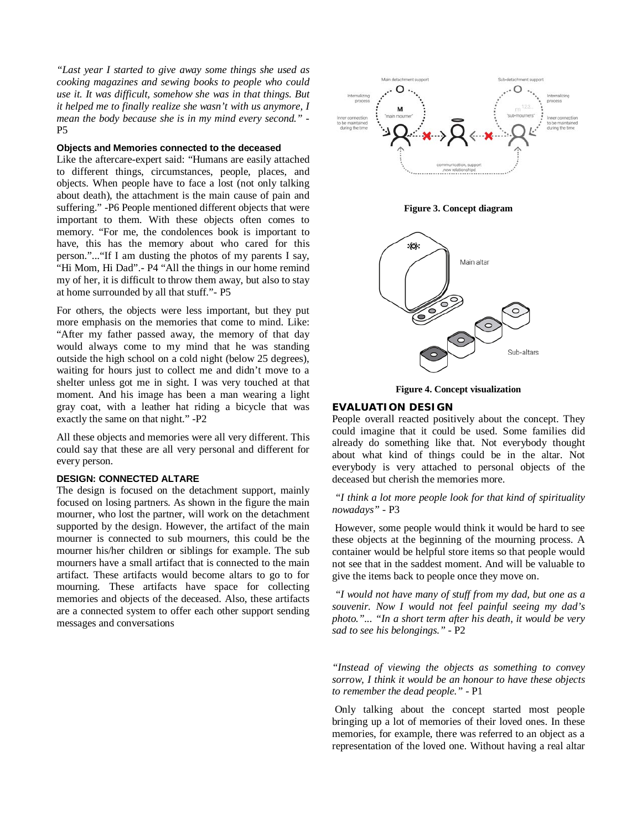*"Last year I started to give away some things she used as cooking magazines and sewing books to people who could use it. It was difficult, somehow she was in that things. But it helped me to finally realize she wasn't with us anymore, I mean the body because she is in my mind every second."* - P5

#### **Objects and Memories connected to the deceased**

Like the aftercare-expert said: "Humans are easily attached to different things, circumstances, people, places, and objects. When people have to face a lost (not only talking about death), the attachment is the main cause of pain and suffering." -P6 People mentioned different objects that were important to them. With these objects often comes to memory. "For me, the condolences book is important to have, this has the memory about who cared for this person."..."If I am dusting the photos of my parents I say, "Hi Mom, Hi Dad".- P4 "All the things in our home remind my of her, it is difficult to throw them away, but also to stay at home surrounded by all that stuff."- P5

For others, the objects were less important, but they put more emphasis on the memories that come to mind. Like: "After my father passed away, the memory of that day would always come to my mind that he was standing outside the high school on a cold night (below 25 degrees), waiting for hours just to collect me and didn't move to a shelter unless got me in sight. I was very touched at that moment. And his image has been a man wearing a light gray coat, with a leather hat riding a bicycle that was exactly the same on that night." -P2

All these objects and memories were all very different. This could say that these are all very personal and different for every person.

## **DESIGN: CONNECTED ALTARE**

The design is focused on the detachment support, mainly focused on losing partners. As shown in the figure the main mourner, who lost the partner, will work on the detachment supported by the design. However, the artifact of the main mourner is connected to sub mourners, this could be the mourner his/her children or siblings for example. The sub mourners have a small artifact that is connected to the main artifact. These artifacts would become altars to go to for mourning. These artifacts have space for collecting memories and objects of the deceased. Also, these artifacts are a connected system to offer each other support sending messages and conversations



**Figure 3. Concept diagram** 



**Figure 4. Concept visualization** 

## **EVALUATION DESIGN**

People overall reacted positively about the concept. They could imagine that it could be used. Some families did already do something like that. Not everybody thought about what kind of things could be in the altar. Not everybody is very attached to personal objects of the deceased but cherish the memories more.

# *"I think a lot more people look for that kind of spirituality nowadays"* - P3

However, some people would think it would be hard to see these objects at the beginning of the mourning process. A container would be helpful store items so that people would not see that in the saddest moment. And will be valuable to give the items back to people once they move on.

*"I would not have many of stuff from my dad, but one as a souvenir. Now I would not feel painful seeing my dad's photo."... "In a short term after his death, it would be very sad to see his belongings." -* P2

*"Instead of viewing the objects as something to convey sorrow, I think it would be an honour to have these objects to remember the dead people." -* P1

Only talking about the concept started most people bringing up a lot of memories of their loved ones. In these memories, for example, there was referred to an object as a representation of the loved one. Without having a real altar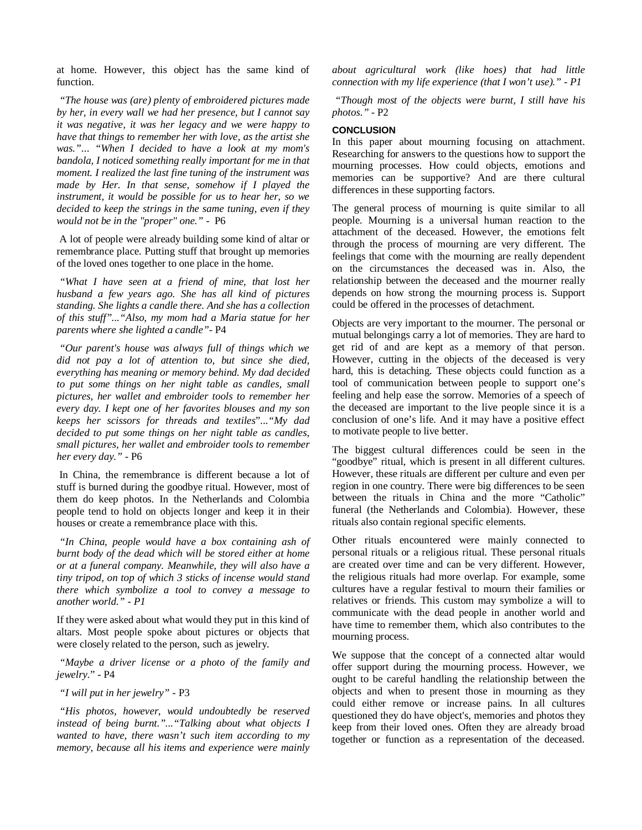at home. However, this object has the same kind of function.

*"The house was (are) plenty of embroidered pictures made by her, in every wall we had her presence, but I cannot say it was negative, it was her legacy and we were happy to have that things to remember her with love, as the artist she was."*... *"When I decided to have a look at my mom's bandola, I noticed something really important for me in that moment. I realized the last fine tuning of the instrument was made by Her. In that sense, somehow if I played the instrument, it would be possible for us to hear her, so we decided to keep the strings in the same tuning, even if they would not be in the "proper" one."* - P6

A lot of people were already building some kind of altar or remembrance place. Putting stuff that brought up memories of the loved ones together to one place in the home.

*"What I have seen at a friend of mine, that lost her husband a few years ago. She has all kind of pictures standing. She lights a candle there. And she has a collection of this stuff"..."Also, my mom had a Maria statue for her parents where she lighted a candle"-* P4

*"Our parent's house was always full of things which we did not pay a lot of attention to, but since she died, everything has meaning or memory behind. My dad decided to put some things on her night table as candles, small pictures, her wallet and embroider tools to remember her every day. I kept one of her favorites blouses and my son keeps her scissors for threads and textiles*"...*"My dad decided to put some things on her night table as candles, small pictures, her wallet and embroider tools to remember her every day." -* P6

In China, the remembrance is different because a lot of stuff is burned during the goodbye ritual. However, most of them do keep photos. In the Netherlands and Colombia people tend to hold on objects longer and keep it in their houses or create a remembrance place with this.

*"In China, people would have a box containing ash of burnt body of the dead which will be stored either at home or at a funeral company. Meanwhile, they will also have a tiny tripod, on top of which 3 sticks of incense would stand there which symbolize a tool to convey a message to another world." - P1*

If they were asked about what would they put in this kind of altars. Most people spoke about pictures or objects that were closely related to the person, such as jewelry.

*"Maybe a driver license or a photo of the family and jewelry.*" - P4

*"I will put in her jewelry"* - P3

*"His photos, however, would undoubtedly be reserved instead of being burnt."..."Talking about what objects I wanted to have, there wasn't such item according to my memory, because all his items and experience were mainly*  *about agricultural work (like hoes) that had little connection with my life experience (that I won't use)." - P1*

*"Though most of the objects were burnt, I still have his photos."* - P2

#### **CONCLUSION**

In this paper about mourning focusing on attachment. Researching for answers to the questions how to support the mourning processes. How could objects, emotions and memories can be supportive? And are there cultural differences in these supporting factors.

The general process of mourning is quite similar to all people. Mourning is a universal human reaction to the attachment of the deceased. However, the emotions felt through the process of mourning are very different. The feelings that come with the mourning are really dependent on the circumstances the deceased was in. Also, the relationship between the deceased and the mourner really depends on how strong the mourning process is. Support could be offered in the processes of detachment.

Objects are very important to the mourner. The personal or mutual belongings carry a lot of memories. They are hard to get rid of and are kept as a memory of that person. However, cutting in the objects of the deceased is very hard, this is detaching. These objects could function as a tool of communication between people to support one's feeling and help ease the sorrow. Memories of a speech of the deceased are important to the live people since it is a conclusion of one's life. And it may have a positive effect to motivate people to live better.

The biggest cultural differences could be seen in the "goodbye" ritual, which is present in all different cultures. However, these rituals are different per culture and even per region in one country. There were big differences to be seen between the rituals in China and the more "Catholic" funeral (the Netherlands and Colombia). However, these rituals also contain regional specific elements.

Other rituals encountered were mainly connected to personal rituals or a religious ritual. These personal rituals are created over time and can be very different. However, the religious rituals had more overlap. For example, some cultures have a regular festival to mourn their families or relatives or friends. This custom may symbolize a will to communicate with the dead people in another world and have time to remember them, which also contributes to the mourning process.

We suppose that the concept of a connected altar would offer support during the mourning process. However, we ought to be careful handling the relationship between the objects and when to present those in mourning as they could either remove or increase pains. In all cultures questioned they do have object's, memories and photos they keep from their loved ones. Often they are already broad together or function as a representation of the deceased.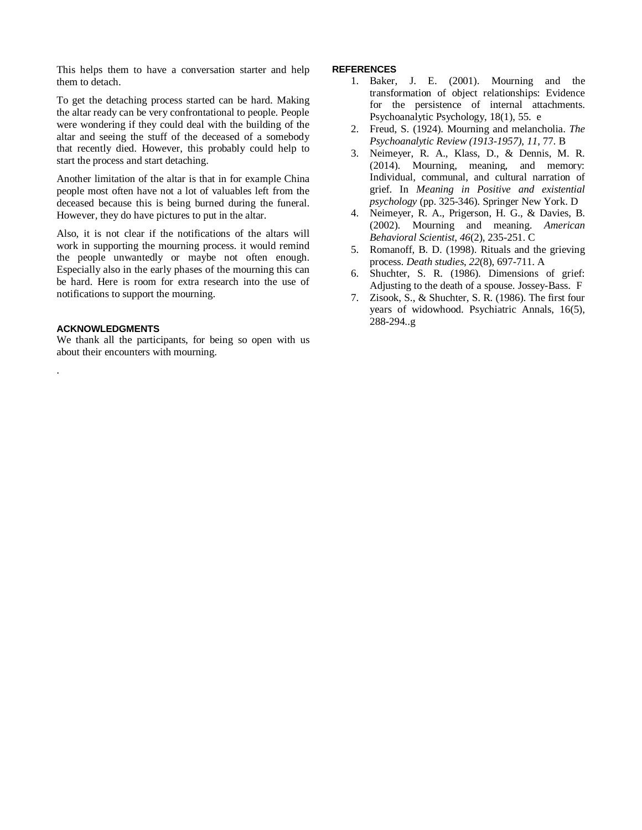This helps them to have a conversation starter and help them to detach.

To get the detaching process started can be hard. Making the altar ready can be very confrontational to people. People were wondering if they could deal with the building of the altar and seeing the stuff of the deceased of a somebody that recently died. However, this probably could help to start the process and start detaching.

Another limitation of the altar is that in for example China people most often have not a lot of valuables left from the deceased because this is being burned during the funeral. However, they do have pictures to put in the altar.

Also, it is not clear if the notifications of the altars will work in supporting the mourning process. it would remind the people unwantedly or maybe not often enough. Especially also in the early phases of the mourning this can be hard. Here is room for extra research into the use of notifications to support the mourning.

#### **ACKNOWLEDGMENTS**

.

We thank all the participants, for being so open with us about their encounters with mourning.

#### **REFERENCES**

- 1. Baker, J. E. (2001). Mourning and the transformation of object relationships: Evidence for the persistence of internal attachments. Psychoanalytic Psychology, 18(1), 55. e
- 2. Freud, S. (1924). Mourning and melancholia. *The Psychoanalytic Review (1913-1957)*, *11*, 77. B
- 3. Neimeyer, R. A., Klass, D., & Dennis, M. R. (2014). Mourning, meaning, and memory: Individual, communal, and cultural narration of grief. In *Meaning in Positive and existential psychology* (pp. 325-346). Springer New York. D
- 4. Neimeyer, R. A., Prigerson, H. G., & Davies, B. (2002). Mourning and meaning. *American Behavioral Scientist*, *46*(2), 235-251. C
- 5. Romanoff, B. D. (1998). Rituals and the grieving process. *Death studies*, *22*(8), 697-711. A
- 6. Shuchter, S. R. (1986). Dimensions of grief: Adjusting to the death of a spouse. Jossey-Bass. F
- 7. Zisook, S., & Shuchter, S. R. (1986). The first four years of widowhood. Psychiatric Annals, 16(5), 288-294..g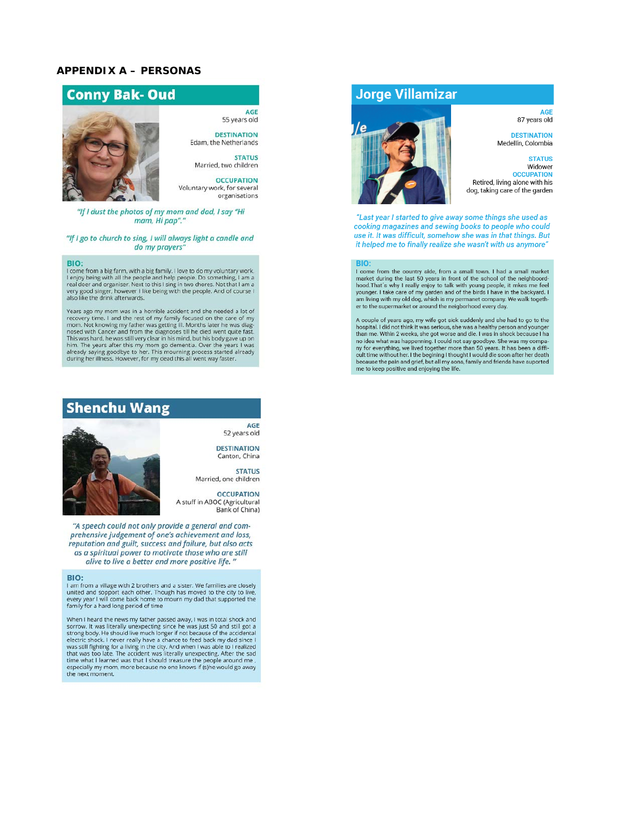## **APPENDIX A – PERSONAS**



55 years old **DESTINATION** 

**AGE** 

Edam, the Netherlands **STATUS** Married, two children

**OCCUPATION** Voluntary work, for several organisations

#### "If I dust the photos of my mom and dad, I say "Hi mam, Hi pap"."

#### "If I go to church to sing, I will always light a candle and do my prayers"

#### BIO:

From a big farm, with a big family. I love to do my voluntary work, I enjoy being with all the people and help people. Do something, I am a real doer and organiser. Next to this I sing in two chores. Not that I am a very g also like the drink afterwards.

Years ago my mom was in a horrible accident and she needed a lot of rears ago my mom was in a normole accouent and she recovery time. I and the rest of my family focused on the care of my mom. Not knowing my father was getting ill. Months later he was diagnoses the mosed with Cancer and fr Find the pears after this my mom go dementia. Over the years I was<br>already saying goodbye to her. This mourning process started already<br>during her illness. However, for my dead this all went way faster.

# **Shenchu Wang**

**AGE** 52 years old

**DESTINATION** Canton, China

**STATUS** Married, one children

**OCCUPATION** A stuff in ABOC (Agricultural<br>Bank of China)

"A speech could not only provide a general and comprehensive judgement of one's achievement and loss, reputation and guilt, success and failure, but also acts as a spiritual power to motivate those who are still alive to live a better and more positive life."

#### BIO:

I am from a village with 2 brothers and a sister. We families are closely united and sopport each other. Though has moved to the city to live, a united and sopport each other. Though has moved to the city to live,<br>every year I will come back home to mourn my dad that supported the<br>family for a hard long period of time

When I heard the news my father passed away, I was in total shock and when the<br>are the news my taner passed away, I was in total shock and<br>sorrow. It was literally unexpecting since he was just 50 and still got a<br>strong body. He should live much longer if not because of the accidental<br>electr the next moment.

# **Jorge Villamizar**



#### **AGE** 87 years old

**DESTINATION** Medellín, Colombia

#### **STATUS** Widower

**OCCUPATION** Retired, living alone with his dog, taking care of the garden

"Last year I started to give away some things she used as cooking magazines and sewing books to people who could use it. It was difficult, somehow she was in that things. But it helped me to finally realize she wasn't with us anymore"

I come from the country side, from a small town. I had a small market From the following the last 50 years in front of the school of the neighboord-<br>hood. That's why I really enjoy to talk with young people, it meas me feel<br>hood. That's why I really enjoy to talk with young people, it meas m er to the supermarket or around the neigborhood every day.

A couple of years ago, my wife got sick suddenly and she had to go to the hospital. I did not think it was serious, she was a healthy person and younger than me. Whin 2 weeks, she got worse and die. I was in shock because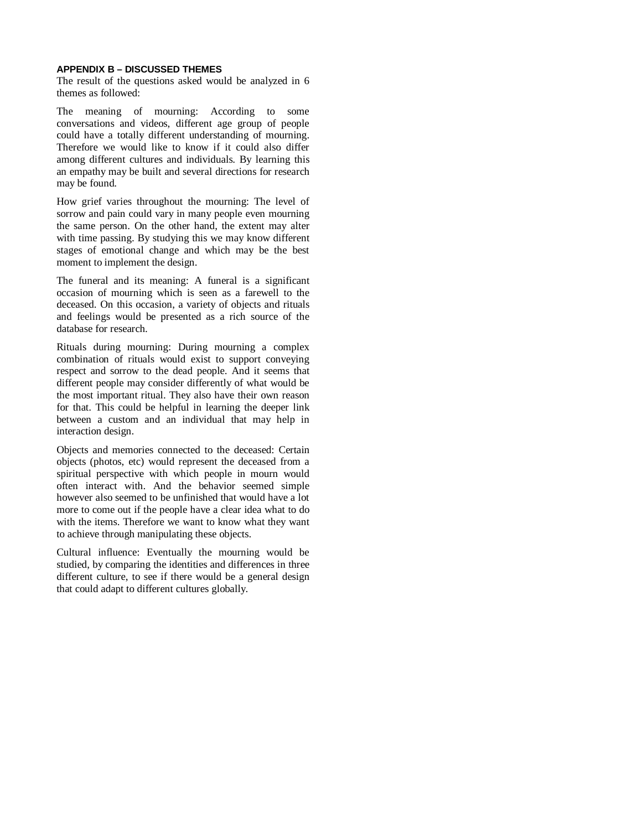#### **APPENDIX B – DISCUSSED THEMES**

The result of the questions asked would be analyzed in 6 themes as followed:

The meaning of mourning: According to some conversations and videos, different age group of people could have a totally different understanding of mourning. Therefore we would like to know if it could also differ among different cultures and individuals. By learning this an empathy may be built and several directions for research may be found.

How grief varies throughout the mourning: The level of sorrow and pain could vary in many people even mourning the same person. On the other hand, the extent may alter with time passing. By studying this we may know different stages of emotional change and which may be the best moment to implement the design.

The funeral and its meaning: A funeral is a significant occasion of mourning which is seen as a farewell to the deceased. On this occasion, a variety of objects and rituals and feelings would be presented as a rich source of the database for research.

Rituals during mourning: During mourning a complex combination of rituals would exist to support conveying respect and sorrow to the dead people. And it seems that different people may consider differently of what would be the most important ritual. They also have their own reason for that. This could be helpful in learning the deeper link between a custom and an individual that may help in interaction design.

Objects and memories connected to the deceased: Certain objects (photos, etc) would represent the deceased from a spiritual perspective with which people in mourn would often interact with. And the behavior seemed simple however also seemed to be unfinished that would have a lot more to come out if the people have a clear idea what to do with the items. Therefore we want to know what they want to achieve through manipulating these objects.

Cultural influence: Eventually the mourning would be studied, by comparing the identities and differences in three different culture, to see if there would be a general design that could adapt to different cultures globally.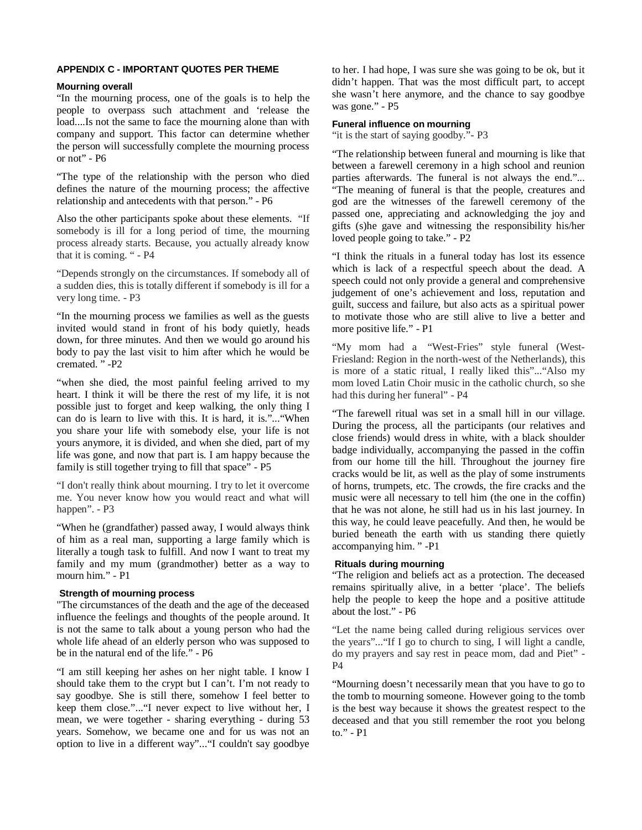#### **APPENDIX C - IMPORTANT QUOTES PER THEME**

#### **Mourning overall**

"In the mourning process, one of the goals is to help the people to overpass such attachment and 'release the load....Is not the same to face the mourning alone than with company and support. This factor can determine whether the person will successfully complete the mourning process or not" - P6

"The type of the relationship with the person who died defines the nature of the mourning process; the affective relationship and antecedents with that person." - P6

Also the other participants spoke about these elements. "If somebody is ill for a long period of time, the mourning process already starts. Because, you actually already know that it is coming. " - P4

"Depends strongly on the circumstances. If somebody all of a sudden dies, this is totally different if somebody is ill for a very long time. - P3

"In the mourning process we families as well as the guests invited would stand in front of his body quietly, heads down, for three minutes. And then we would go around his body to pay the last visit to him after which he would be cremated. " -P2

"when she died, the most painful feeling arrived to my heart. I think it will be there the rest of my life, it is not possible just to forget and keep walking, the only thing I can do is learn to live with this. It is hard, it is."..."When you share your life with somebody else, your life is not yours anymore, it is divided, and when she died, part of my life was gone, and now that part is. I am happy because the family is still together trying to fill that space" - P5

"I don't really think about mourning. I try to let it overcome me. You never know how you would react and what will happen". - P3

"When he (grandfather) passed away, I would always think of him as a real man, supporting a large family which is literally a tough task to fulfill. And now I want to treat my family and my mum (grandmother) better as a way to mourn him." - P1

## **Strength of mourning process**

"The circumstances of the death and the age of the deceased influence the feelings and thoughts of the people around. It is not the same to talk about a young person who had the whole life ahead of an elderly person who was supposed to be in the natural end of the life." - P6

"I am still keeping her ashes on her night table. I know I should take them to the crypt but I can't. I'm not ready to say goodbye. She is still there, somehow I feel better to keep them close."..."I never expect to live without her, I mean, we were together - sharing everything - during 53 years. Somehow, we became one and for us was not an option to live in a different way"..."I couldn't say goodbye

to her. I had hope, I was sure she was going to be ok, but it didn't happen. That was the most difficult part, to accept she wasn't here anymore, and the chance to say goodbye was gone." - P5

# **Funeral influence on mourning**

"it is the start of saying goodby."- P3

"The relationship between funeral and mourning is like that between a farewell ceremony in a high school and reunion parties afterwards. The funeral is not always the end."... "The meaning of funeral is that the people, creatures and god are the witnesses of the farewell ceremony of the passed one, appreciating and acknowledging the joy and gifts (s)he gave and witnessing the responsibility his/her loved people going to take." - P2

"I think the rituals in a funeral today has lost its essence which is lack of a respectful speech about the dead. A speech could not only provide a general and comprehensive judgement of one's achievement and loss, reputation and guilt, success and failure, but also acts as a spiritual power to motivate those who are still alive to live a better and more positive life." - P1

"My mom had a "West-Fries" style funeral (West-Friesland: Region in the north-west of the Netherlands), this is more of a static ritual, I really liked this"..."Also my mom loved Latin Choir music in the catholic church, so she had this during her funeral" - P4

"The farewell ritual was set in a small hill in our village. During the process, all the participants (our relatives and close friends) would dress in white, with a black shoulder badge individually, accompanying the passed in the coffin from our home till the hill. Throughout the journey fire cracks would be lit, as well as the play of some instruments of horns, trumpets, etc. The crowds, the fire cracks and the music were all necessary to tell him (the one in the coffin) that he was not alone, he still had us in his last journey. In this way, he could leave peacefully. And then, he would be buried beneath the earth with us standing there quietly accompanying him. " -P1

# **Rituals during mourning**

"The religion and beliefs act as a protection. The deceased remains spiritually alive, in a better 'place'. The beliefs help the people to keep the hope and a positive attitude about the lost." - P6

"Let the name being called during religious services over the years"..."If I go to church to sing, I will light a candle, do my prayers and say rest in peace mom, dad and Piet" - P4

"Mourning doesn't necessarily mean that you have to go to the tomb to mourning someone. However going to the tomb is the best way because it shows the greatest respect to the deceased and that you still remember the root you belong to." - P1